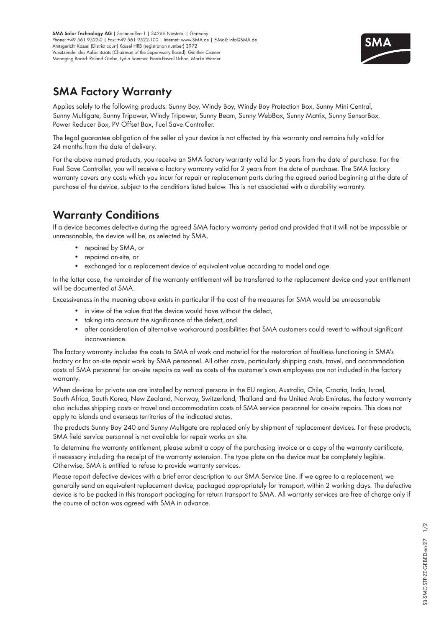

#### **SMA Factory Warranty**

Applies solely to the following products: Sunny Boy, Windy Boy, Windy Boy Protection Box, Sunny Mini Central, Sunny Multigate, Sunny Tripower, Windy Tripower, Sunny Beam, Sunny WebBox, Sunny Matrix, Sunny SensorBox, Power Reducer Box, PV Offset Box, Fuel Save Controller.

The legal guarantee obligation of the seller of your device is not affected by this warranty and remains fully valid for 24 months from the date of delivery.

For the above named products, you receive an SMA factory warranty valid for 5 years from the date of purchase. For the Fuel Save Controller, you will receive a factory warranty valid for 2 years from the date of purchase. The SMA factory warranty covers any costs which you incur for repair or replacement parts during the agreed period beginning at the date of purchase of the device, subject to the conditions listed below. This is not associated with a durability warranty.

# **Warranty Conditions**

If a device becomes defective during the agreed SMA factory warranty period and provided that it will not be impossible or unreasonable, the device will be, as selected by SMA,

- repaired by SMA, or
- repaired on-site, or
- exchanged for a replacement device of equivalent value according to model and age.

In the latter case, the remainder of the warranty entitlement will be transferred to the replacement device and your entitlement will be documented at SMA.

Excessiveness in the meaning above exists in particular if the cost of the measures for SMA would be unreasonable

- in view of the value that the device would have without the defect,
- taking into account the significance of the defect, and
- after consideration of alternative workaround possibilities that SMA customers could revert to without significant inconvenience.

The factory warranty includes the costs to SMA of work and material for the restoration of faultless functioning in SMA's factory or for on-site repair work by SMA personnel. All other costs, particularly shipping costs, travel, and accommodation costs of SMA personnel for on-site repairs as well as costs of the customer's own employees are not included in the factory warranty.

When devices for private use are installed by natural persons in the EU region, Australia, Chile, Croatia, India, Israel, South Africa, South Korea, New Zealand, Norway, Switzerland, Thailand and the United Arab Emirates, the factory warranty also includes shipping costs or travel and accommodation costs of SMA service personnel for on-site repairs. This does not apply to islands and overseas territories of the indicated states.

The products Sunny Boy 240 and Sunny Multigate are replaced only by shipment of replacement devices. For these products, SMA field service personnel is not available for repair works on site.

To determine the warranty entitlement, please submit a copy of the purchasing invoice or a copy of the warranty certificate, if necessary including the receipt of the warranty extension. The type plate on the device must be completely legible. Otherwise, SMA is entitled to refuse to provide warranty services.

Please report defective devices with a brief error description to our SMA Service Line. If we agree to a replacement, we generally send an equivalent replacement device, packaged appropriately for transport, within 2 working days. The defective device is to be packed in this transport packaging for return transport to SMA. All warranty services are free of charge only if the course of action was agreed with SMA in advance.